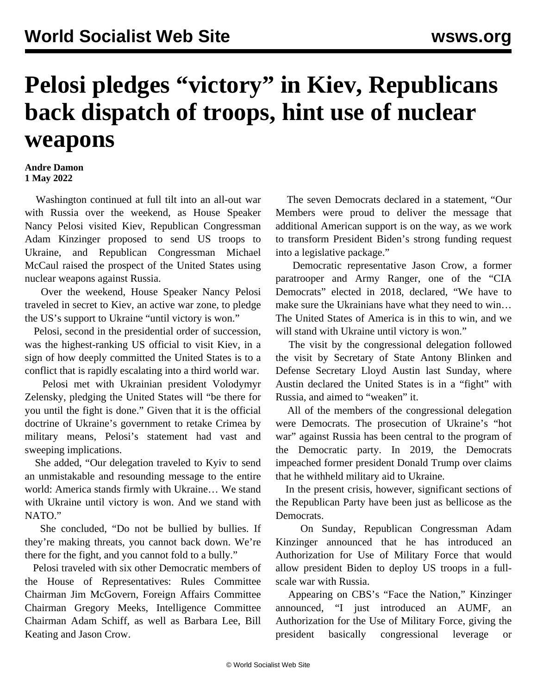## **Pelosi pledges "victory" in Kiev, Republicans back dispatch of troops, hint use of nuclear weapons**

## **Andre Damon 1 May 2022**

 Washington continued at full tilt into an all-out war with Russia over the weekend, as House Speaker Nancy Pelosi visited Kiev, Republican Congressman Adam Kinzinger proposed to send US troops to Ukraine, and Republican Congressman Michael McCaul raised the prospect of the United States using nuclear weapons against Russia.

 Over the weekend, House Speaker Nancy Pelosi traveled in secret to Kiev, an active war zone, to pledge the US's support to Ukraine "until victory is won."

 Pelosi, second in the presidential order of succession, was the highest-ranking US official to visit Kiev, in a sign of how deeply committed the United States is to a conflict that is rapidly escalating into a third world war.

 Pelosi met with Ukrainian president Volodymyr Zelensky, pledging the United States will "be there for you until the fight is done." Given that it is the official doctrine of Ukraine's government to retake Crimea by military means, Pelosi's statement had vast and sweeping implications.

 She added, "Our delegation traveled to Kyiv to send an unmistakable and resounding message to the entire world: America stands firmly with Ukraine… We stand with Ukraine until victory is won. And we stand with NATO."

 She concluded, "Do not be bullied by bullies. If they're making threats, you cannot back down. We're there for the fight, and you cannot fold to a bully."

 Pelosi traveled with six other Democratic members of the House of Representatives: Rules Committee Chairman Jim McGovern, Foreign Affairs Committee Chairman Gregory Meeks, Intelligence Committee Chairman Adam Schiff, as well as Barbara Lee, Bill Keating and Jason Crow.

 The seven Democrats declared in a statement, "Our Members were proud to deliver the message that additional American support is on the way, as we work to transform President Biden's strong funding request into a legislative package."

 Democratic representative Jason Crow, a former paratrooper and Army Ranger, one of the "[CIA](/en/articles/2018/03/08/dems-m08.html) [Democrats](/en/articles/2018/03/08/dems-m08.html)" elected in 2018, declared, "We have to make sure the Ukrainians have what they need to win… The United States of America is in this to win, and we will stand with Ukraine until victory is won."

 The visit by the congressional delegation followed the visit by Secretary of State Antony Blinken and Defense Secretary Lloyd Austin last Sunday, where Austin declared the United States is in a "fight" with Russia, and aimed to "weaken" it.

 All of the members of the congressional delegation were Democrats. The prosecution of Ukraine's "hot war" against Russia has been central to the program of the Democratic party. In 2019, the Democrats impeached former president Donald Trump over claims that he withheld military aid to Ukraine.

 In the present crisis, however, significant sections of the Republican Party have been just as bellicose as the Democrats.

 On Sunday, Republican Congressman Adam Kinzinger announced that he has introduced an Authorization for Use of Military Force that would allow president Biden to deploy US troops in a fullscale war with Russia.

 Appearing on CBS's "Face the Nation," Kinzinger announced, "I just introduced an AUMF, an Authorization for the Use of Military Force, giving the president basically congressional leverage or